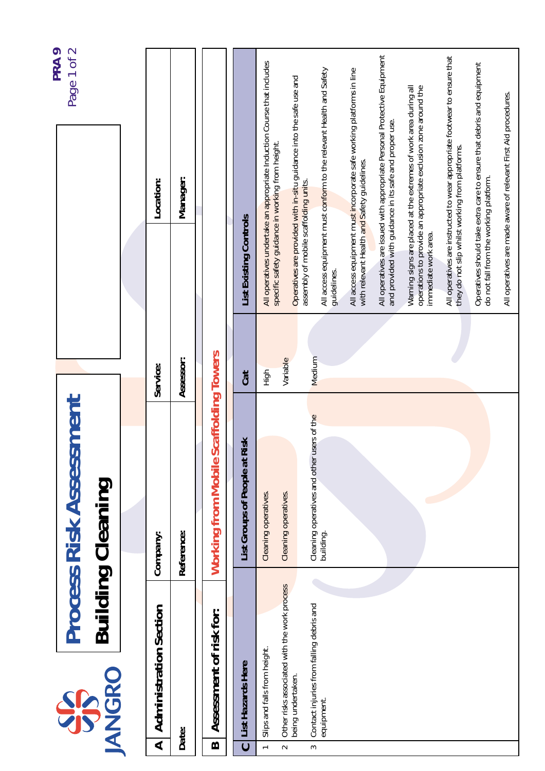| Page 1 of 2<br>PRA 9 |                                                            |  |                               |            |                                        |                                    |                                                                                                                            |                                                                     |                                                                     |                                                                      |                                                                                                                                    |                                                                                                                                    |                                                                                                                              |                                                                       |                                                                 |
|----------------------|------------------------------------------------------------|--|-------------------------------|------------|----------------------------------------|------------------------------------|----------------------------------------------------------------------------------------------------------------------------|---------------------------------------------------------------------|---------------------------------------------------------------------|----------------------------------------------------------------------|------------------------------------------------------------------------------------------------------------------------------------|------------------------------------------------------------------------------------------------------------------------------------|------------------------------------------------------------------------------------------------------------------------------|-----------------------------------------------------------------------|-----------------------------------------------------------------|
|                      |                                                            |  | Location:                     | Manager:   |                                        |                                    | All operatives undertake an appropriate Induction Course that includes<br>specific safety guidance in working from height. | Operatives are provided with in-situ guidance into the safe use and | All access equipment must conform to the relevant Health and Safety | All access equipment must incorporate safe working platforms in line | All operatives are issued with appropriate Personal Protective Equipment<br>and provided with guidance in its safe and proper use. | Warning signs are placed at the extremes of work area during all<br>operations to provide an appropriate exclusion zone around the | All operatives are instructed to wear appropriate footwear to ensure that<br>they do not slip whilst working from platforms. | Operatives should take extra care to ensure that debris and equipment | All operatives are made aware of relevant First Aid procedures. |
|                      |                                                            |  |                               |            |                                        | List Existing Controls             |                                                                                                                            |                                                                     | assembly of mobile scaffolding units.<br>guidelines.                | with relevant Health and Safety guidelines.                          |                                                                                                                                    | immediate work area.                                                                                                               |                                                                                                                              | do not fall from the working platform.                                |                                                                 |
|                      |                                                            |  | Service:                      | Assessor:  |                                        | Cat                                | High                                                                                                                       | Variable                                                            | Medium                                                              |                                                                      |                                                                                                                                    |                                                                                                                                    |                                                                                                                              |                                                                       |                                                                 |
|                      |                                                            |  |                               |            | Working from Mobile Scaffolding Towers |                                    |                                                                                                                            |                                                                     |                                                                     |                                                                      |                                                                                                                                    |                                                                                                                                    |                                                                                                                              |                                                                       |                                                                 |
|                      | <b>Process Risk Assessment</b><br><b>Building Cleaning</b> |  | Company:                      | Reference: |                                        | Risk<br>List Groups of People at F | Cleaning operatives.                                                                                                       | Cleaning operatives.                                                | Cleaning operatives and other users of the<br>building.             |                                                                      |                                                                                                                                    |                                                                                                                                    |                                                                                                                              |                                                                       |                                                                 |
|                      |                                                            |  |                               |            |                                        |                                    |                                                                                                                            |                                                                     |                                                                     |                                                                      |                                                                                                                                    |                                                                                                                                    |                                                                                                                              |                                                                       |                                                                 |
|                      | <b>ANGRO</b><br>SPS                                        |  | <b>Administration Section</b> | Date:      | Assessment of risk for:                | List Hazards Here                  | Slips and falls from height.                                                                                               | Other risks associated with the work process<br>being undertaken.   | Contact injuries from falling debris and<br>equipment.              |                                                                      |                                                                                                                                    |                                                                                                                                    |                                                                                                                              |                                                                       |                                                                 |
|                      |                                                            |  | $\blacktriangleleft$          |            | $\bf{m}$                               | $\ddot{\phantom{0}}$               | $\overline{a}$                                                                                                             | $\sim$                                                              | S                                                                   |                                                                      |                                                                                                                                    |                                                                                                                                    |                                                                                                                              |                                                                       |                                                                 |